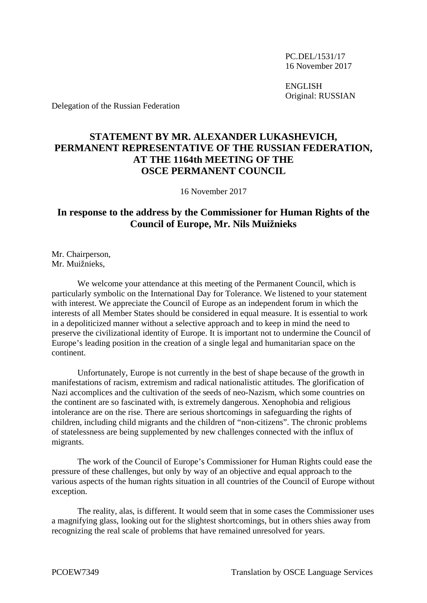PC.DEL/1531/17 16 November 2017

ENGLISH Original: RUSSIAN

Delegation of the Russian Federation

## **STATEMENT BY MR. ALEXANDER LUKASHEVICH, PERMANENT REPRESENTATIVE OF THE RUSSIAN FEDERATION, AT THE 1164th MEETING OF THE OSCE PERMANENT COUNCIL**

16 November 2017

## **In response to the address by the Commissioner for Human Rights of the Council of Europe, Mr. Nils Muižnieks**

Mr. Chairperson, Mr. Muižnieks,

We welcome your attendance at this meeting of the Permanent Council, which is particularly symbolic on the International Day for Tolerance. We listened to your statement with interest. We appreciate the Council of Europe as an independent forum in which the interests of all Member States should be considered in equal measure. It is essential to work in a depoliticized manner without a selective approach and to keep in mind the need to preserve the civilizational identity of Europe. It is important not to undermine the Council of Europe's leading position in the creation of a single legal and humanitarian space on the continent.

Unfortunately, Europe is not currently in the best of shape because of the growth in manifestations of racism, extremism and radical nationalistic attitudes. The glorification of Nazi accomplices and the cultivation of the seeds of neo-Nazism, which some countries on the continent are so fascinated with, is extremely dangerous. Xenophobia and religious intolerance are on the rise. There are serious shortcomings in safeguarding the rights of children, including child migrants and the children of "non-citizens". The chronic problems of statelessness are being supplemented by new challenges connected with the influx of migrants.

The work of the Council of Europe's Commissioner for Human Rights could ease the pressure of these challenges, but only by way of an objective and equal approach to the various aspects of the human rights situation in all countries of the Council of Europe without exception.

The reality, alas, is different. It would seem that in some cases the Commissioner uses a magnifying glass, looking out for the slightest shortcomings, but in others shies away from recognizing the real scale of problems that have remained unresolved for years.